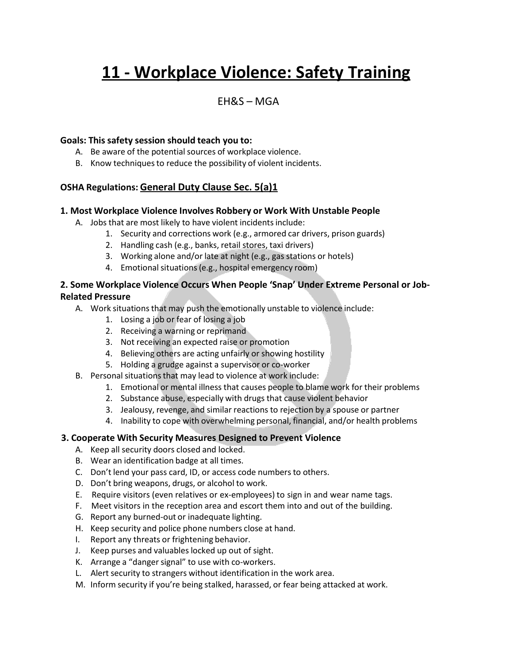# **11 - Workplace Violence: Safety Training**

### $FHRS - MGA$

#### **Goals: This safety session should teach you to:**

- A. Be aware of the potential sources of workplace violence.
- B. Know techniques to reduce the possibility of violent incidents.

#### **OSHA Regulations: General Duty Clause Sec. 5(a)1**

#### **1. Most Workplace Violence Involves Robbery or Work With Unstable People**

- A. Jobs that are most likely to have violent incidents include:
	- 1. Security and corrections work (e.g., armored car drivers, prison guards)
	- 2. Handling cash (e.g., banks, retail stores, taxi drivers)
	- 3. Working alone and/or late at night (e.g., gas stations or hotels)
	- 4. Emotional situations (e.g., hospital emergency room)

#### **2. Some Workplace Violence Occurs When People 'Snap' Under Extreme Personal or Job-Related Pressure**

- A. Work situations that may push the emotionally unstable to violence include:
	- 1. Losing a job or fear of losing a job
	- 2. Receiving a warning or reprimand
	- 3. Not receiving an expected raise or promotion
	- 4. Believing others are acting unfairly or showing hostility
	- 5. Holding a grudge against a supervisor or co-worker
- B. Personal situations that may lead to violence at work include:
	- 1. Emotional or mental illness that causes people to blame work for their problems
	- 2. Substance abuse, especially with drugs that cause violent behavior
	- 3. Jealousy, revenge, and similar reactions to rejection by a spouse or partner
	- 4. Inability to cope with overwhelming personal, financial, and/or health problems

#### **3. Cooperate With Security Measures Designed to Prevent Violence**

- A. Keep all security doors closed and locked.
- B. Wear an identification badge at all times.
- C. Don't lend your pass card, ID, or access code numbers to others.
- D. Don't bring weapons, drugs, or alcohol to work.
- E. Require visitors (even relatives or ex-employees) to sign in and wear name tags.
- F. Meet visitors in the reception area and escort them into and out of the building.
- G. Report any burned-out or inadequate lighting.
- H. Keep security and police phone numbers close at hand.
- I. Report any threats or frightening behavior.
- J. Keep purses and valuables locked up out of sight.
- K. Arrange a "dangersignal" to use with co-workers.
- L. Alert security to strangers without identification in the work area.
- M. Inform security if you're being stalked, harassed, or fear being attacked at work.